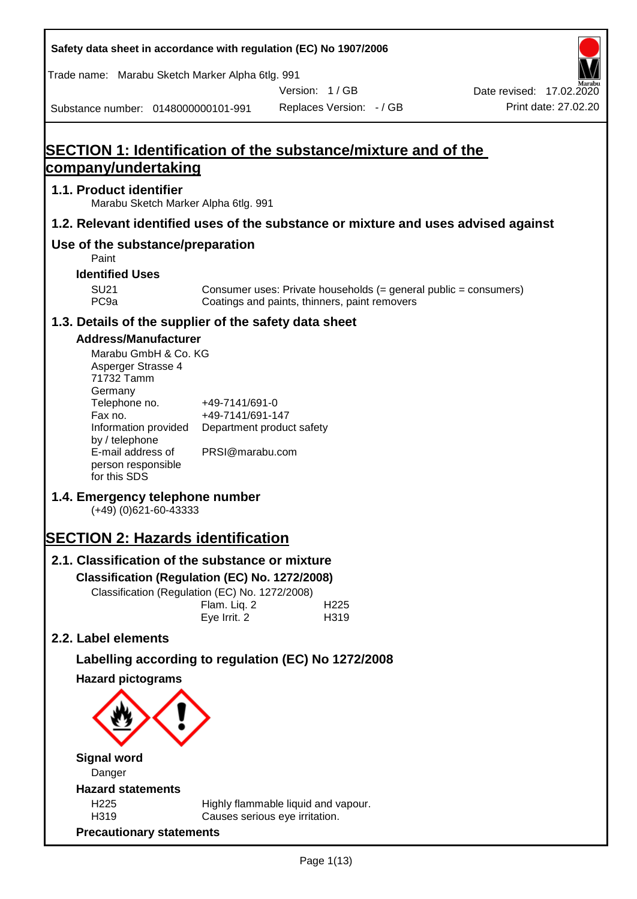**Safety data sheet in accordance with regulation (EC) No 1907/2006** Substance number: 0148000000101-991 Version: 1 / GB Replaces Version: - / GB Print date: 27.02.20 Date revised: 17.02.2020 Trade name: Marabu Sketch Marker Alpha 6tlg. 991 **SECTION 1: Identification of the substance/mixture and of the company/undertaking 1.1. Product identifier** Marabu Sketch Marker Alpha 6tlg. 991 **1.2. Relevant identified uses of the substance or mixture and uses advised against Use of the substance/preparation** Paint **Identified Uses** SU21 Consumer uses: Private households (= general public = consumers)<br>PC9a Coatings and paints, thinners, paint removers Coatings and paints, thinners, paint removers **1.3. Details of the supplier of the safety data sheet Address/Manufacturer** Marabu GmbH & Co. KG Asperger Strasse 4 71732 Tamm **Germany** Telephone no. +49-7141/691-0 Fax no.  $+49-7141/691-147$ Information provided Department product safety by / telephone E-mail address of person responsible for this SDS PRSI@marabu.com **1.4. Emergency telephone number** (+49) (0)621-60-43333 **SECTION 2: Hazards identification 2.1. Classification of the substance or mixture Classification (Regulation (EC) No. 1272/2008)** Classification (Regulation (EC) No. 1272/2008) Flam. Liq. 2 H225 Eye Irrit. 2 H319 **2.2. Label elements Labelling according to regulation (EC) No 1272/2008 Hazard pictograms Signal word** Danger **Hazard statements** H225 Highly flammable liquid and vapour. H319 Causes serious eye irritation. **Precautionary statements**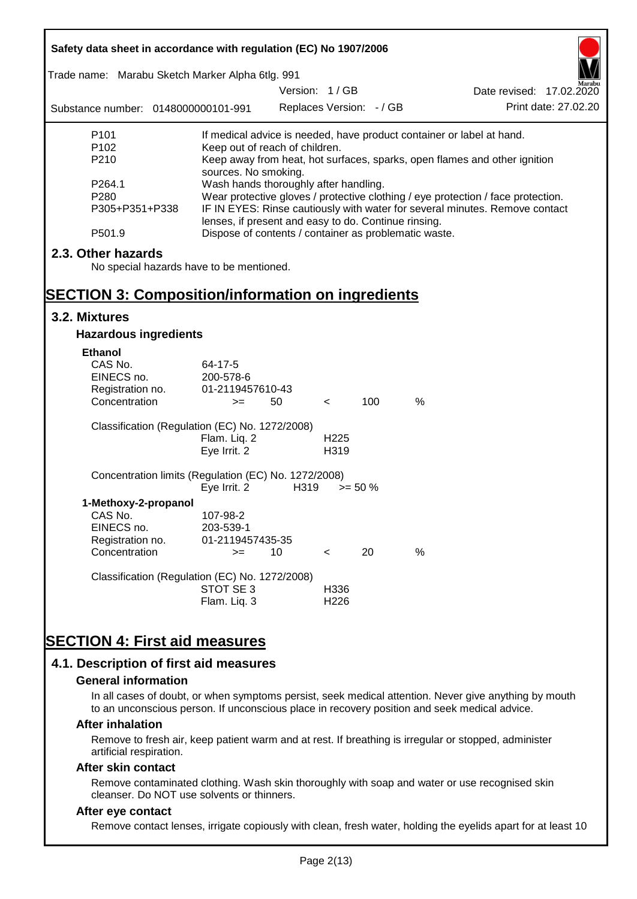| Safety data sheet in accordance with regulation (EC) No 1907/2006<br>Trade name: Marabu Sketch Marker Alpha 6tlg. 991<br>Version: 1/GB |                                                                                                                                                                                                                                                                  |                          |                          |            |               |                                                                           |  |
|----------------------------------------------------------------------------------------------------------------------------------------|------------------------------------------------------------------------------------------------------------------------------------------------------------------------------------------------------------------------------------------------------------------|--------------------------|--------------------------|------------|---------------|---------------------------------------------------------------------------|--|
| Substance number: 0148000000101-991                                                                                                    |                                                                                                                                                                                                                                                                  | Replaces Version: - / GB |                          |            |               | Date revised: 17.02.2020<br>Print date: 27.02.20                          |  |
| P <sub>101</sub>                                                                                                                       |                                                                                                                                                                                                                                                                  |                          |                          |            |               | If medical advice is needed, have product container or label at hand.     |  |
| P <sub>102</sub><br>P210                                                                                                               | Keep out of reach of children.<br>sources. No smoking.                                                                                                                                                                                                           |                          |                          |            |               | Keep away from heat, hot surfaces, sparks, open flames and other ignition |  |
| P264.1<br>P280<br>P305+P351+P338                                                                                                       | Wash hands thoroughly after handling.<br>Wear protective gloves / protective clothing / eye protection / face protection.<br>IF IN EYES: Rinse cautiously with water for several minutes. Remove contact<br>lenses, if present and easy to do. Continue rinsing. |                          |                          |            |               |                                                                           |  |
| P501.9                                                                                                                                 | Dispose of contents / container as problematic waste.                                                                                                                                                                                                            |                          |                          |            |               |                                                                           |  |
| 2.3. Other hazards<br>No special hazards have to be mentioned.                                                                         |                                                                                                                                                                                                                                                                  |                          |                          |            |               |                                                                           |  |
| <b>SECTION 3: Composition/information on ingredients</b>                                                                               |                                                                                                                                                                                                                                                                  |                          |                          |            |               |                                                                           |  |
| 3.2. Mixtures                                                                                                                          |                                                                                                                                                                                                                                                                  |                          |                          |            |               |                                                                           |  |
| <b>Hazardous ingredients</b>                                                                                                           |                                                                                                                                                                                                                                                                  |                          |                          |            |               |                                                                           |  |
| <b>Ethanol</b><br>CAS No.<br>EINECS no.<br>Registration no.<br>Concentration                                                           | 64-17-5<br>200-578-6<br>01-2119457610-43<br>$>=$                                                                                                                                                                                                                 | 50                       | $\lt$                    | 100        | $\frac{0}{0}$ |                                                                           |  |
| Classification (Regulation (EC) No. 1272/2008)                                                                                         | Flam. Liq. 2<br>Eye Irrit. 2                                                                                                                                                                                                                                     |                          | H <sub>225</sub><br>H319 |            |               |                                                                           |  |
| Concentration limits (Regulation (EC) No. 1272/2008)                                                                                   | Eye Irrit. 2                                                                                                                                                                                                                                                     | H319                     |                          | $>= 50 \%$ |               |                                                                           |  |
| 1-Methoxy-2-propanol<br>CAS No.<br>EINECS no.<br>Registration no.                                                                      | 107-98-2<br>203-539-1<br>01-2119457435-35                                                                                                                                                                                                                        |                          |                          |            |               |                                                                           |  |
| Concentration                                                                                                                          | $>=$                                                                                                                                                                                                                                                             | 10                       | $\,<\,$                  | 20         | %             |                                                                           |  |
| Classification (Regulation (EC) No. 1272/2008)                                                                                         | STOT SE 3<br>Flam. Liq. 3                                                                                                                                                                                                                                        |                          | H336<br>H <sub>226</sub> |            |               |                                                                           |  |
| <b>SECTION 4: First aid measures</b>                                                                                                   |                                                                                                                                                                                                                                                                  |                          |                          |            |               |                                                                           |  |
| 4.1. Description of first aid measures                                                                                                 |                                                                                                                                                                                                                                                                  |                          |                          |            |               |                                                                           |  |

#### **General information**

In all cases of doubt, or when symptoms persist, seek medical attention. Never give anything by mouth to an unconscious person. If unconscious place in recovery position and seek medical advice.

#### **After inhalation**

Remove to fresh air, keep patient warm and at rest. If breathing is irregular or stopped, administer artificial respiration.

#### **After skin contact**

Remove contaminated clothing. Wash skin thoroughly with soap and water or use recognised skin cleanser. Do NOT use solvents or thinners.

## **After eye contact**

Remove contact lenses, irrigate copiously with clean, fresh water, holding the eyelids apart for at least 10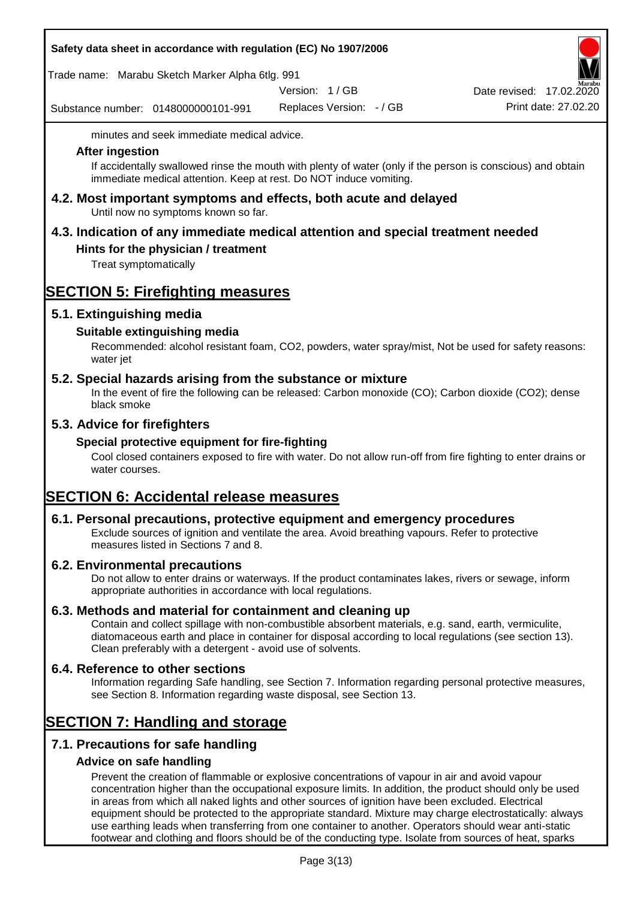|  |  |  | Safety data sheet in accordance with regulation (EC) No 1907/2006 |
|--|--|--|-------------------------------------------------------------------|
|--|--|--|-------------------------------------------------------------------|

Trade name: Marabu Sketch Marker Alpha 6tlg. 991

Version: 1 / GB

Substance number: 0148000000101-991

Replaces Version: - / GB Print date: 27.02.20 Date revised: 17.02.2020

minutes and seek immediate medical advice.

#### **After ingestion**

If accidentally swallowed rinse the mouth with plenty of water (only if the person is conscious) and obtain immediate medical attention. Keep at rest. Do NOT induce vomiting.

**4.2. Most important symptoms and effects, both acute and delayed** Until now no symptoms known so far.

# **4.3. Indication of any immediate medical attention and special treatment needed**

## **Hints for the physician / treatment**

Treat symptomatically

## **SECTION 5: Firefighting measures**

## **5.1. Extinguishing media**

## **Suitable extinguishing media**

Recommended: alcohol resistant foam, CO2, powders, water spray/mist, Not be used for safety reasons: water jet

## **5.2. Special hazards arising from the substance or mixture**

In the event of fire the following can be released: Carbon monoxide (CO); Carbon dioxide (CO2); dense black smoke

## **5.3. Advice for firefighters**

## **Special protective equipment for fire-fighting**

Cool closed containers exposed to fire with water. Do not allow run-off from fire fighting to enter drains or water courses.

# **SECTION 6: Accidental release measures**

## **6.1. Personal precautions, protective equipment and emergency procedures**

Exclude sources of ignition and ventilate the area. Avoid breathing vapours. Refer to protective measures listed in Sections 7 and 8.

## **6.2. Environmental precautions**

Do not allow to enter drains or waterways. If the product contaminates lakes, rivers or sewage, inform appropriate authorities in accordance with local regulations.

## **6.3. Methods and material for containment and cleaning up**

Contain and collect spillage with non-combustible absorbent materials, e.g. sand, earth, vermiculite, diatomaceous earth and place in container for disposal according to local regulations (see section 13). Clean preferably with a detergent - avoid use of solvents.

## **6.4. Reference to other sections**

Information regarding Safe handling, see Section 7. Information regarding personal protective measures, see Section 8. Information regarding waste disposal, see Section 13.

## **SECTION 7: Handling and storage**

## **7.1. Precautions for safe handling**

## **Advice on safe handling**

Prevent the creation of flammable or explosive concentrations of vapour in air and avoid vapour concentration higher than the occupational exposure limits. In addition, the product should only be used in areas from which all naked lights and other sources of ignition have been excluded. Electrical equipment should be protected to the appropriate standard. Mixture may charge electrostatically: always use earthing leads when transferring from one container to another. Operators should wear anti-static footwear and clothing and floors should be of the conducting type. Isolate from sources of heat, sparks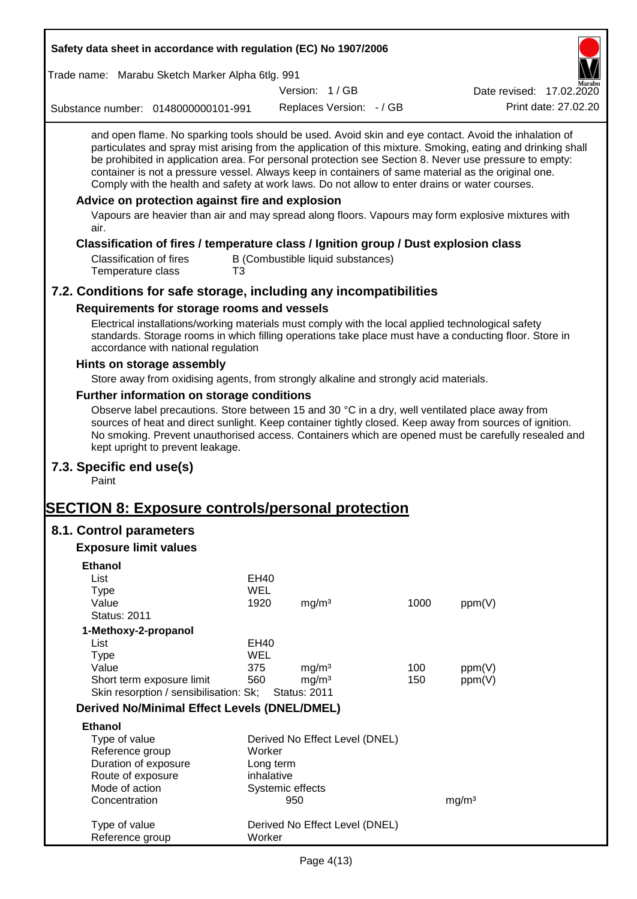| Safety data sheet in accordance with regulation (EC) No 1907/2006                                                                                                                                                                                                                                                                                                                                                                                                                                                                                                                                                                                                                                         |            |                         |                                   |      |                          |                      |
|-----------------------------------------------------------------------------------------------------------------------------------------------------------------------------------------------------------------------------------------------------------------------------------------------------------------------------------------------------------------------------------------------------------------------------------------------------------------------------------------------------------------------------------------------------------------------------------------------------------------------------------------------------------------------------------------------------------|------------|-------------------------|-----------------------------------|------|--------------------------|----------------------|
| Trade name: Marabu Sketch Marker Alpha 6tlg. 991                                                                                                                                                                                                                                                                                                                                                                                                                                                                                                                                                                                                                                                          |            |                         |                                   |      |                          |                      |
|                                                                                                                                                                                                                                                                                                                                                                                                                                                                                                                                                                                                                                                                                                           |            | Version: 1/GB           |                                   |      | Date revised: 17.02.2020 |                      |
| Substance number: 0148000000101-991                                                                                                                                                                                                                                                                                                                                                                                                                                                                                                                                                                                                                                                                       |            |                         | Replaces Version: - / GB          |      |                          | Print date: 27.02.20 |
| and open flame. No sparking tools should be used. Avoid skin and eye contact. Avoid the inhalation of<br>particulates and spray mist arising from the application of this mixture. Smoking, eating and drinking shall<br>be prohibited in application area. For personal protection see Section 8. Never use pressure to empty:<br>container is not a pressure vessel. Always keep in containers of same material as the original one.<br>Comply with the health and safety at work laws. Do not allow to enter drains or water courses.<br>Advice on protection against fire and explosion<br>Vapours are heavier than air and may spread along floors. Vapours may form explosive mixtures with<br>air. |            |                         |                                   |      |                          |                      |
| Classification of fires / temperature class / Ignition group / Dust explosion class                                                                                                                                                                                                                                                                                                                                                                                                                                                                                                                                                                                                                       |            |                         |                                   |      |                          |                      |
| <b>Classification of fires</b><br>Temperature class                                                                                                                                                                                                                                                                                                                                                                                                                                                                                                                                                                                                                                                       | T3         |                         | B (Combustible liquid substances) |      |                          |                      |
| 7.2. Conditions for safe storage, including any incompatibilities                                                                                                                                                                                                                                                                                                                                                                                                                                                                                                                                                                                                                                         |            |                         |                                   |      |                          |                      |
| Requirements for storage rooms and vessels                                                                                                                                                                                                                                                                                                                                                                                                                                                                                                                                                                                                                                                                |            |                         |                                   |      |                          |                      |
| Electrical installations/working materials must comply with the local applied technological safety<br>standards. Storage rooms in which filling operations take place must have a conducting floor. Store in<br>accordance with national regulation                                                                                                                                                                                                                                                                                                                                                                                                                                                       |            |                         |                                   |      |                          |                      |
| Hints on storage assembly                                                                                                                                                                                                                                                                                                                                                                                                                                                                                                                                                                                                                                                                                 |            |                         |                                   |      |                          |                      |
| Store away from oxidising agents, from strongly alkaline and strongly acid materials.                                                                                                                                                                                                                                                                                                                                                                                                                                                                                                                                                                                                                     |            |                         |                                   |      |                          |                      |
| Further information on storage conditions                                                                                                                                                                                                                                                                                                                                                                                                                                                                                                                                                                                                                                                                 |            |                         |                                   |      |                          |                      |
| Observe label precautions. Store between 15 and 30 °C in a dry, well ventilated place away from<br>sources of heat and direct sunlight. Keep container tightly closed. Keep away from sources of ignition.<br>No smoking. Prevent unauthorised access. Containers which are opened must be carefully resealed and<br>kept upright to prevent leakage.                                                                                                                                                                                                                                                                                                                                                     |            |                         |                                   |      |                          |                      |
| 7.3. Specific end use(s)<br>Paint                                                                                                                                                                                                                                                                                                                                                                                                                                                                                                                                                                                                                                                                         |            |                         |                                   |      |                          |                      |
| <b>SECTION 8: Exposure controls/personal protection</b>                                                                                                                                                                                                                                                                                                                                                                                                                                                                                                                                                                                                                                                   |            |                         |                                   |      |                          |                      |
| 8.1. Control parameters                                                                                                                                                                                                                                                                                                                                                                                                                                                                                                                                                                                                                                                                                   |            |                         |                                   |      |                          |                      |
| <b>Exposure limit values</b>                                                                                                                                                                                                                                                                                                                                                                                                                                                                                                                                                                                                                                                                              |            |                         |                                   |      |                          |                      |
| <b>Ethanol</b>                                                                                                                                                                                                                                                                                                                                                                                                                                                                                                                                                                                                                                                                                            |            |                         |                                   |      |                          |                      |
| List                                                                                                                                                                                                                                                                                                                                                                                                                                                                                                                                                                                                                                                                                                      | EH40       |                         |                                   |      |                          |                      |
| <b>Type</b>                                                                                                                                                                                                                                                                                                                                                                                                                                                                                                                                                                                                                                                                                               | <b>WEL</b> |                         |                                   |      |                          |                      |
| Value                                                                                                                                                                                                                                                                                                                                                                                                                                                                                                                                                                                                                                                                                                     | 1920       | mg/m <sup>3</sup>       |                                   | 1000 | ppm(V)                   |                      |
| <b>Status: 2011</b>                                                                                                                                                                                                                                                                                                                                                                                                                                                                                                                                                                                                                                                                                       |            |                         |                                   |      |                          |                      |
| 1-Methoxy-2-propanol<br>List                                                                                                                                                                                                                                                                                                                                                                                                                                                                                                                                                                                                                                                                              | EH40       |                         |                                   |      |                          |                      |
| <b>Type</b>                                                                                                                                                                                                                                                                                                                                                                                                                                                                                                                                                                                                                                                                                               | <b>WEL</b> |                         |                                   |      |                          |                      |
| Value                                                                                                                                                                                                                                                                                                                                                                                                                                                                                                                                                                                                                                                                                                     | 375        | mg/m <sup>3</sup>       |                                   | 100  | ppm(V)                   |                      |
| Short term exposure limit                                                                                                                                                                                                                                                                                                                                                                                                                                                                                                                                                                                                                                                                                 | 560        | mg/m <sup>3</sup>       |                                   | 150  | ppm(V)                   |                      |
| Skin resorption / sensibilisation: Sk;                                                                                                                                                                                                                                                                                                                                                                                                                                                                                                                                                                                                                                                                    |            | <b>Status: 2011</b>     |                                   |      |                          |                      |
| <b>Derived No/Minimal Effect Levels (DNEL/DMEL)</b>                                                                                                                                                                                                                                                                                                                                                                                                                                                                                                                                                                                                                                                       |            |                         |                                   |      |                          |                      |
| <b>Ethanol</b>                                                                                                                                                                                                                                                                                                                                                                                                                                                                                                                                                                                                                                                                                            |            |                         |                                   |      |                          |                      |
| Type of value                                                                                                                                                                                                                                                                                                                                                                                                                                                                                                                                                                                                                                                                                             |            |                         | Derived No Effect Level (DNEL)    |      |                          |                      |
| Reference group                                                                                                                                                                                                                                                                                                                                                                                                                                                                                                                                                                                                                                                                                           | Worker     |                         |                                   |      |                          |                      |
| Duration of exposure                                                                                                                                                                                                                                                                                                                                                                                                                                                                                                                                                                                                                                                                                      |            | Long term<br>inhalative |                                   |      |                          |                      |
| Route of exposure<br>Mode of action                                                                                                                                                                                                                                                                                                                                                                                                                                                                                                                                                                                                                                                                       |            | Systemic effects        |                                   |      |                          |                      |
| Concentration                                                                                                                                                                                                                                                                                                                                                                                                                                                                                                                                                                                                                                                                                             |            | 950                     |                                   |      | mg/m <sup>3</sup>        |                      |
|                                                                                                                                                                                                                                                                                                                                                                                                                                                                                                                                                                                                                                                                                                           |            |                         |                                   |      |                          |                      |
| Type of value<br>Reference group                                                                                                                                                                                                                                                                                                                                                                                                                                                                                                                                                                                                                                                                          | Worker     |                         | Derived No Effect Level (DNEL)    |      |                          |                      |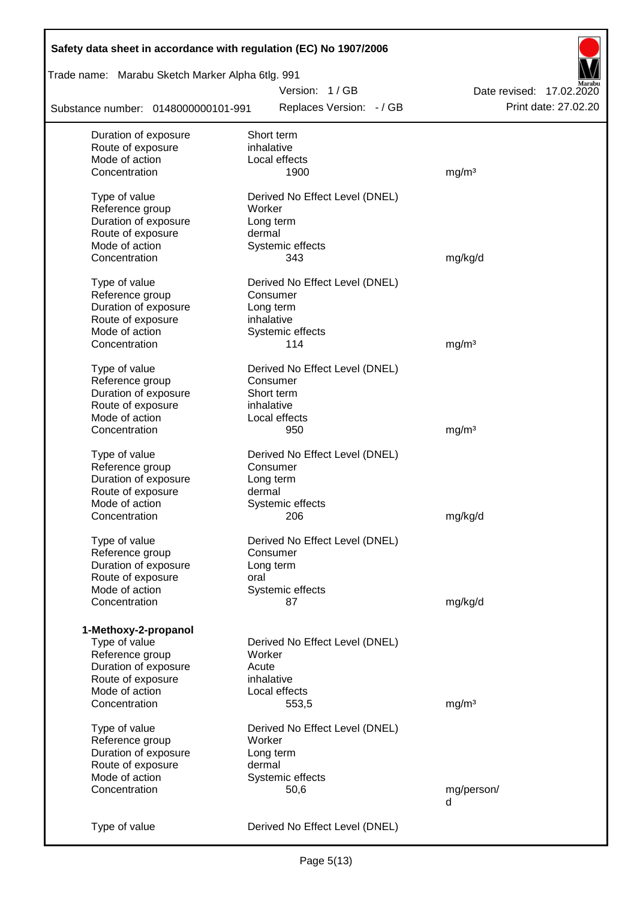| Safety data sheet in accordance with regulation (EC) No 1907/2006 |                                            |                          |
|-------------------------------------------------------------------|--------------------------------------------|--------------------------|
| Trade name: Marabu Sketch Marker Alpha 6tlg. 991                  |                                            |                          |
|                                                                   | Version: 1/GB                              | Date revised: 17.02.2020 |
| Substance number: 0148000000101-991                               | Replaces Version: - / GB                   | Print date: 27.02.20     |
| Duration of exposure                                              | Short term                                 |                          |
| Route of exposure                                                 | inhalative                                 |                          |
| Mode of action                                                    | Local effects                              |                          |
| Concentration                                                     | 1900                                       | mg/m <sup>3</sup>        |
| Type of value                                                     | Derived No Effect Level (DNEL)             |                          |
| Reference group                                                   | Worker                                     |                          |
| Duration of exposure                                              | Long term                                  |                          |
| Route of exposure                                                 | dermal                                     |                          |
| Mode of action                                                    | Systemic effects                           |                          |
| Concentration                                                     | 343                                        | mg/kg/d                  |
|                                                                   |                                            |                          |
| Type of value                                                     | Derived No Effect Level (DNEL)             |                          |
| Reference group                                                   | Consumer                                   |                          |
| Duration of exposure                                              | Long term                                  |                          |
| Route of exposure                                                 | inhalative                                 |                          |
| Mode of action                                                    | Systemic effects                           |                          |
| Concentration                                                     | 114                                        | mg/m <sup>3</sup>        |
| Type of value                                                     | Derived No Effect Level (DNEL)             |                          |
| Reference group                                                   | Consumer                                   |                          |
| Duration of exposure                                              | Short term                                 |                          |
| Route of exposure                                                 | inhalative                                 |                          |
| Mode of action                                                    | Local effects                              |                          |
| Concentration                                                     | 950                                        | mg/m <sup>3</sup>        |
|                                                                   |                                            |                          |
| Type of value<br>Reference group                                  | Derived No Effect Level (DNEL)<br>Consumer |                          |
| Duration of exposure                                              |                                            |                          |
| Route of exposure                                                 | Long term<br>dermal                        |                          |
| Mode of action                                                    |                                            |                          |
| Concentration                                                     | Systemic effects<br>206                    | mg/kg/d                  |
|                                                                   |                                            |                          |
| Type of value                                                     | Derived No Effect Level (DNEL)             |                          |
| Reference group                                                   | Consumer                                   |                          |
| Duration of exposure                                              | Long term                                  |                          |
| Route of exposure                                                 | oral                                       |                          |
| Mode of action                                                    | Systemic effects                           |                          |
| Concentration                                                     | 87                                         | mg/kg/d                  |
| 1-Methoxy-2-propanol                                              |                                            |                          |
| Type of value                                                     | Derived No Effect Level (DNEL)             |                          |
| Reference group                                                   | Worker                                     |                          |
| Duration of exposure                                              | Acute                                      |                          |
| Route of exposure                                                 | inhalative                                 |                          |
| Mode of action                                                    | Local effects                              |                          |
| Concentration                                                     | 553,5                                      | mg/m <sup>3</sup>        |
|                                                                   |                                            |                          |
| Type of value                                                     | Derived No Effect Level (DNEL)             |                          |
| Reference group                                                   | Worker                                     |                          |
| Duration of exposure                                              | Long term                                  |                          |
| Route of exposure                                                 | dermal                                     |                          |
| Mode of action                                                    | Systemic effects                           |                          |
| Concentration                                                     | 50,6                                       | mg/person/               |
|                                                                   |                                            | d                        |
| Type of value                                                     | Derived No Effect Level (DNEL)             |                          |
|                                                                   |                                            |                          |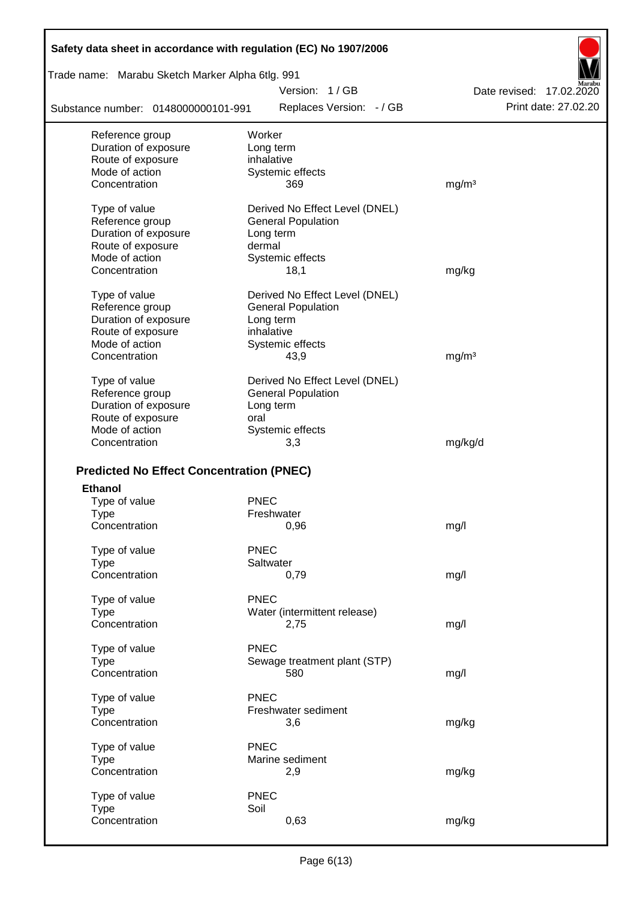| Safety data sheet in accordance with regulation (EC) No 1907/2006 |                                |                          |
|-------------------------------------------------------------------|--------------------------------|--------------------------|
| Trade name: Marabu Sketch Marker Alpha 6tlg. 991                  |                                |                          |
|                                                                   | Version: 1/GB                  | Date revised: 17.02.2020 |
| Substance number: 0148000000101-991                               | Replaces Version: - / GB       | Print date: 27.02.20     |
| Reference group                                                   | Worker                         |                          |
| Duration of exposure                                              | Long term                      |                          |
| Route of exposure                                                 | inhalative                     |                          |
| Mode of action                                                    | Systemic effects               |                          |
| Concentration                                                     | 369                            | mg/m <sup>3</sup>        |
| Type of value                                                     | Derived No Effect Level (DNEL) |                          |
| Reference group                                                   | <b>General Population</b>      |                          |
| Duration of exposure                                              | Long term                      |                          |
| Route of exposure                                                 | dermal                         |                          |
| Mode of action<br>Concentration                                   | Systemic effects               |                          |
|                                                                   | 18,1                           | mg/kg                    |
| Type of value                                                     | Derived No Effect Level (DNEL) |                          |
| Reference group                                                   | <b>General Population</b>      |                          |
| Duration of exposure                                              | Long term                      |                          |
| Route of exposure                                                 | inhalative                     |                          |
| Mode of action                                                    | Systemic effects               |                          |
| Concentration                                                     | 43,9                           | mg/m <sup>3</sup>        |
| Type of value                                                     | Derived No Effect Level (DNEL) |                          |
| Reference group                                                   | <b>General Population</b>      |                          |
| Duration of exposure                                              | Long term                      |                          |
| Route of exposure                                                 | oral                           |                          |
| Mode of action                                                    | Systemic effects               |                          |
| Concentration                                                     | 3,3                            | mg/kg/d                  |
| <b>Predicted No Effect Concentration (PNEC)</b>                   |                                |                          |
| <b>Ethanol</b>                                                    |                                |                          |
| Type of value                                                     | <b>PNEC</b>                    |                          |
| Type                                                              | Freshwater                     |                          |
| Concentration                                                     | 0,96                           | mg/l                     |
|                                                                   |                                |                          |
| Type of value                                                     | <b>PNEC</b>                    |                          |
| <b>Type</b>                                                       | Saltwater                      |                          |
| Concentration                                                     | 0,79                           | mg/l                     |
| Type of value                                                     | <b>PNEC</b>                    |                          |
| <b>Type</b>                                                       | Water (intermittent release)   |                          |
| Concentration                                                     | 2,75                           | mg/l                     |
|                                                                   | <b>PNEC</b>                    |                          |
| Type of value<br><b>Type</b>                                      | Sewage treatment plant (STP)   |                          |
| Concentration                                                     | 580                            | mg/l                     |
|                                                                   |                                |                          |
| Type of value                                                     | <b>PNEC</b>                    |                          |
| <b>Type</b>                                                       | Freshwater sediment            |                          |
| Concentration                                                     | 3,6                            | mg/kg                    |
| Type of value                                                     | <b>PNEC</b>                    |                          |
| <b>Type</b>                                                       | Marine sediment                |                          |
| Concentration                                                     | 2,9                            | mg/kg                    |
|                                                                   |                                |                          |
| Type of value                                                     | <b>PNEC</b>                    |                          |
| <b>Type</b>                                                       | Soil                           |                          |
| Concentration                                                     | 0,63                           | mg/kg                    |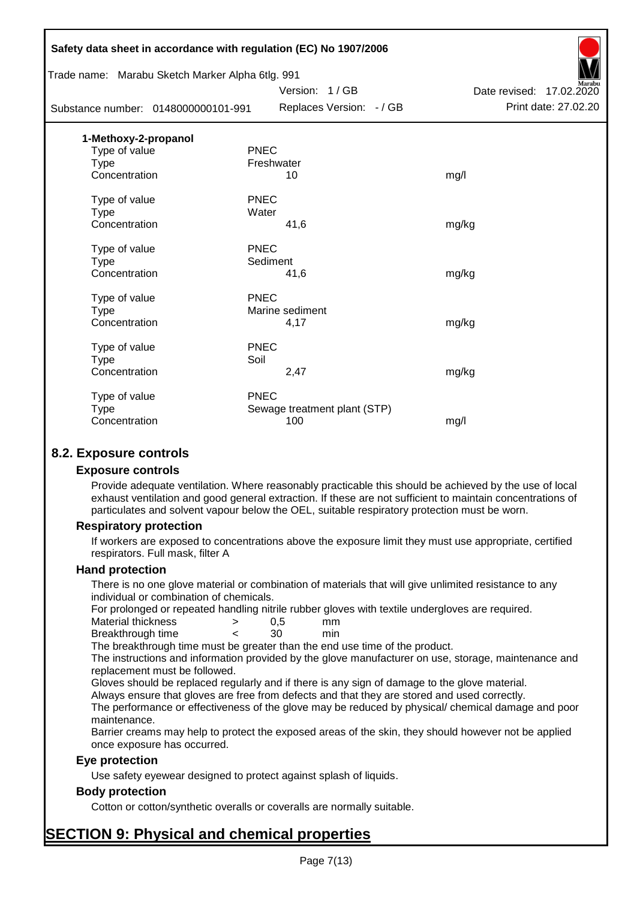|                                     | Safety data sheet in accordance with regulation (EC) No 1907/2006 |                              |                          |
|-------------------------------------|-------------------------------------------------------------------|------------------------------|--------------------------|
|                                     | Trade name: Marabu Sketch Marker Alpha 6tlg. 991                  |                              |                          |
|                                     |                                                                   | Version: 1/GB                | Date revised: 17.02.2020 |
| Substance number: 0148000000101-991 |                                                                   | Replaces Version: - / GB     | Print date: 27.02.20     |
| 1-Methoxy-2-propanol                |                                                                   |                              |                          |
| Type of value                       | <b>PNEC</b>                                                       |                              |                          |
| <b>Type</b>                         | Freshwater                                                        |                              |                          |
| Concentration                       |                                                                   | 10                           | mg/l                     |
| Type of value                       | <b>PNEC</b>                                                       |                              |                          |
| <b>Type</b>                         | Water                                                             |                              |                          |
| Concentration                       |                                                                   | 41,6                         | mg/kg                    |
| Type of value                       | <b>PNEC</b>                                                       |                              |                          |
| <b>Type</b>                         | Sediment                                                          |                              |                          |
| Concentration                       |                                                                   | 41,6                         | mg/kg                    |
| Type of value                       | <b>PNEC</b>                                                       |                              |                          |
| Type                                |                                                                   | Marine sediment              |                          |
| Concentration                       |                                                                   | 4,17                         | mg/kg                    |
| Type of value                       | <b>PNEC</b>                                                       |                              |                          |
| <b>Type</b>                         | Soil                                                              |                              |                          |
| Concentration                       |                                                                   | 2,47                         | mg/kg                    |
| Type of value                       | <b>PNEC</b>                                                       |                              |                          |
| <b>Type</b>                         |                                                                   | Sewage treatment plant (STP) |                          |
| Concentration                       |                                                                   | 100                          | mg/l                     |
|                                     |                                                                   |                              |                          |

## **8.2. Exposure controls**

#### **Exposure controls**

Provide adequate ventilation. Where reasonably practicable this should be achieved by the use of local exhaust ventilation and good general extraction. If these are not sufficient to maintain concentrations of particulates and solvent vapour below the OEL, suitable respiratory protection must be worn.

#### **Respiratory protection**

If workers are exposed to concentrations above the exposure limit they must use appropriate, certified respirators. Full mask, filter A

#### **Hand protection**

There is no one glove material or combination of materials that will give unlimited resistance to any individual or combination of chemicals.

For prolonged or repeated handling nitrile rubber gloves with textile undergloves are required.

| Material thickness | 0.5 | mm  |
|--------------------|-----|-----|
| Breakthrough time  | 30  | min |

The breakthrough time must be greater than the end use time of the product.

The instructions and information provided by the glove manufacturer on use, storage, maintenance and replacement must be followed.

Gloves should be replaced regularly and if there is any sign of damage to the glove material.

Always ensure that gloves are free from defects and that they are stored and used correctly.

The performance or effectiveness of the glove may be reduced by physical/ chemical damage and poor maintenance.

Barrier creams may help to protect the exposed areas of the skin, they should however not be applied once exposure has occurred.

## **Eye protection**

Use safety eyewear designed to protect against splash of liquids.

## **Body protection**

Cotton or cotton/synthetic overalls or coveralls are normally suitable.

# **SECTION 9: Physical and chemical properties**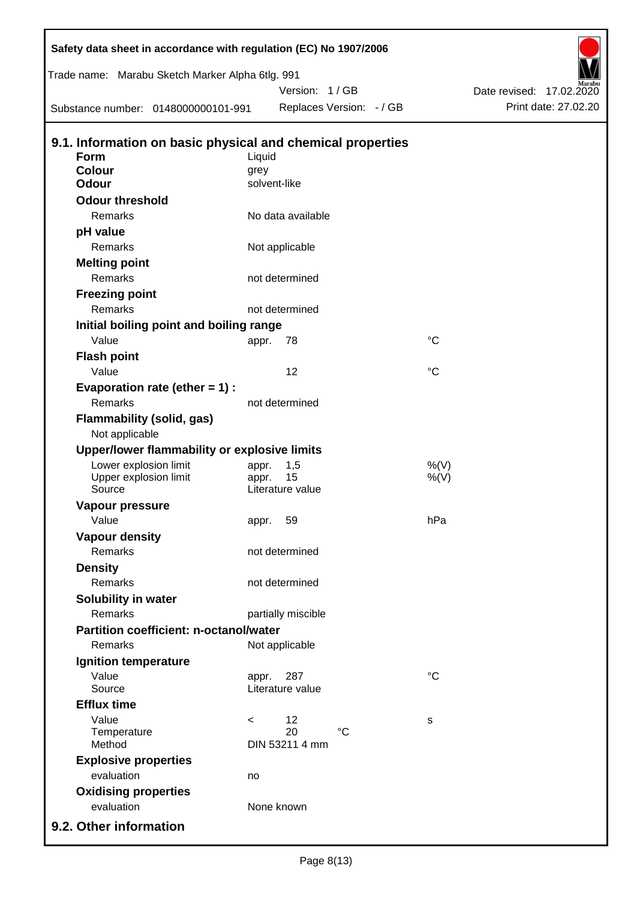| Safety data sheet in accordance with regulation (EC) No 1907/2006 |              |                        |                          |             |                          |
|-------------------------------------------------------------------|--------------|------------------------|--------------------------|-------------|--------------------------|
| Trade name: Marabu Sketch Marker Alpha 6tlg. 991                  |              |                        |                          |             |                          |
|                                                                   |              | Version: 1 / GB        |                          |             | Date revised: 17.02.2020 |
| Substance number: 0148000000101-991                               |              |                        | Replaces Version: - / GB |             | Print date: 27.02.20     |
| 9.1. Information on basic physical and chemical properties        |              |                        |                          |             |                          |
| Form                                                              | Liquid       |                        |                          |             |                          |
| <b>Colour</b>                                                     | grey         |                        |                          |             |                          |
| <b>Odour</b>                                                      | solvent-like |                        |                          |             |                          |
| <b>Odour threshold</b>                                            |              |                        |                          |             |                          |
| Remarks                                                           |              | No data available      |                          |             |                          |
| pH value                                                          |              |                        |                          |             |                          |
| Remarks                                                           |              | Not applicable         |                          |             |                          |
| <b>Melting point</b>                                              |              |                        |                          |             |                          |
| Remarks                                                           |              | not determined         |                          |             |                          |
| <b>Freezing point</b>                                             |              |                        |                          |             |                          |
| Remarks                                                           |              | not determined         |                          |             |                          |
| Initial boiling point and boiling range                           |              |                        |                          |             |                          |
| Value                                                             | appr.        | 78                     |                          | $^{\circ}C$ |                          |
| <b>Flash point</b>                                                |              |                        |                          |             |                          |
| Value                                                             |              | 12                     |                          | $^{\circ}C$ |                          |
| Evaporation rate (ether $= 1$ ) :                                 |              |                        |                          |             |                          |
| Remarks                                                           |              | not determined         |                          |             |                          |
| Flammability (solid, gas)<br>Not applicable                       |              |                        |                          |             |                          |
| Upper/lower flammability or explosive limits                      |              |                        |                          |             |                          |
| Lower explosion limit                                             | appr.        | 1,5                    |                          | %(V)        |                          |
| Upper explosion limit<br>Source                                   | appr.        | 15<br>Literature value |                          | $%$ (V)     |                          |
|                                                                   |              |                        |                          |             |                          |
| Vapour pressure<br>Value                                          | appr. 59     |                        |                          | hPa         |                          |
| <b>Vapour density</b>                                             |              |                        |                          |             |                          |
| Remarks                                                           |              | not determined         |                          |             |                          |
| <b>Density</b>                                                    |              |                        |                          |             |                          |
| Remarks                                                           |              | not determined         |                          |             |                          |
| Solubility in water                                               |              |                        |                          |             |                          |
| Remarks                                                           |              | partially miscible     |                          |             |                          |
| <b>Partition coefficient: n-octanol/water</b>                     |              |                        |                          |             |                          |
| Remarks                                                           |              | Not applicable         |                          |             |                          |
| Ignition temperature                                              |              |                        |                          |             |                          |
| Value                                                             | appr.        | 287                    |                          | $^{\circ}C$ |                          |
| Source                                                            |              | Literature value       |                          |             |                          |
| <b>Efflux time</b>                                                |              |                        |                          |             |                          |
| Value                                                             | $\,<\,$      | 12                     |                          | s           |                          |
| Temperature                                                       |              | 20                     | $\rm ^{\circ}C$          |             |                          |
| Method                                                            |              | DIN 53211 4 mm         |                          |             |                          |
| <b>Explosive properties</b>                                       |              |                        |                          |             |                          |
| evaluation                                                        | no           |                        |                          |             |                          |
| <b>Oxidising properties</b>                                       |              |                        |                          |             |                          |
| evaluation                                                        |              | None known             |                          |             |                          |
| 9.2. Other information                                            |              |                        |                          |             |                          |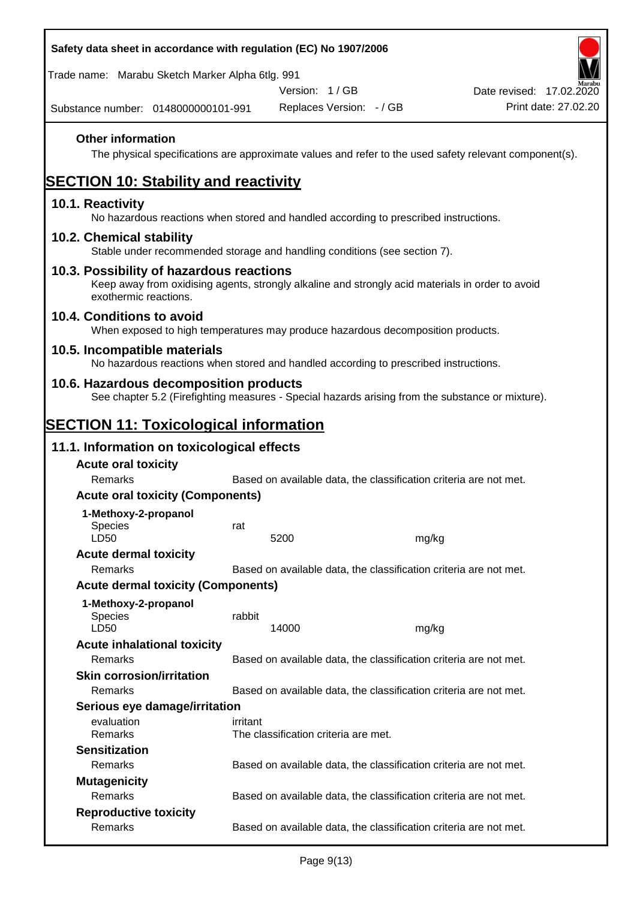| Safety data sheet in accordance with regulation (EC) No 1907/2006                                                                                                     |          |                                      |                                                                   |                          |
|-----------------------------------------------------------------------------------------------------------------------------------------------------------------------|----------|--------------------------------------|-------------------------------------------------------------------|--------------------------|
| Trade name: Marabu Sketch Marker Alpha 6tlg. 991                                                                                                                      |          |                                      |                                                                   |                          |
|                                                                                                                                                                       |          | Version: 1/GB                        |                                                                   | Date revised: 17.02.2020 |
| Substance number: 0148000000101-991                                                                                                                                   |          | Replaces Version: - / GB             |                                                                   | Print date: 27.02.20     |
| <b>Other information</b><br>The physical specifications are approximate values and refer to the used safety relevant component(s).                                    |          |                                      |                                                                   |                          |
| <b>SECTION 10: Stability and reactivity</b>                                                                                                                           |          |                                      |                                                                   |                          |
| 10.1. Reactivity<br>No hazardous reactions when stored and handled according to prescribed instructions.                                                              |          |                                      |                                                                   |                          |
| 10.2. Chemical stability<br>Stable under recommended storage and handling conditions (see section 7).                                                                 |          |                                      |                                                                   |                          |
| 10.3. Possibility of hazardous reactions<br>Keep away from oxidising agents, strongly alkaline and strongly acid materials in order to avoid<br>exothermic reactions. |          |                                      |                                                                   |                          |
| 10.4. Conditions to avoid<br>When exposed to high temperatures may produce hazardous decomposition products.                                                          |          |                                      |                                                                   |                          |
| 10.5. Incompatible materials<br>No hazardous reactions when stored and handled according to prescribed instructions.                                                  |          |                                      |                                                                   |                          |
| 10.6. Hazardous decomposition products<br>See chapter 5.2 (Firefighting measures - Special hazards arising from the substance or mixture).                            |          |                                      |                                                                   |                          |
| <b>SECTION 11: Toxicological information</b>                                                                                                                          |          |                                      |                                                                   |                          |
| 11.1. Information on toxicological effects                                                                                                                            |          |                                      |                                                                   |                          |
| <b>Acute oral toxicity</b>                                                                                                                                            |          |                                      |                                                                   |                          |
| Remarks                                                                                                                                                               |          |                                      | Based on available data, the classification criteria are not met. |                          |
| <b>Acute oral toxicity (Components)</b>                                                                                                                               |          |                                      |                                                                   |                          |
| 1-Methoxy-2-propanol                                                                                                                                                  |          |                                      |                                                                   |                          |
| <b>Species</b><br>LD50                                                                                                                                                | rat      | 5200                                 | mg/kg                                                             |                          |
| <b>Acute dermal toxicity</b>                                                                                                                                          |          |                                      |                                                                   |                          |
| Remarks                                                                                                                                                               |          |                                      | Based on available data, the classification criteria are not met. |                          |
| <b>Acute dermal toxicity (Components)</b>                                                                                                                             |          |                                      |                                                                   |                          |
| 1-Methoxy-2-propanol<br>Species<br>LD50                                                                                                                               | rabbit   | 14000                                | mg/kg                                                             |                          |
| <b>Acute inhalational toxicity</b>                                                                                                                                    |          |                                      |                                                                   |                          |
| Remarks                                                                                                                                                               |          |                                      | Based on available data, the classification criteria are not met. |                          |
| <b>Skin corrosion/irritation</b>                                                                                                                                      |          |                                      |                                                                   |                          |
| Remarks                                                                                                                                                               |          |                                      | Based on available data, the classification criteria are not met. |                          |
| Serious eye damage/irritation                                                                                                                                         |          |                                      |                                                                   |                          |
| evaluation<br>Remarks                                                                                                                                                 | irritant | The classification criteria are met. |                                                                   |                          |
| <b>Sensitization</b>                                                                                                                                                  |          |                                      |                                                                   |                          |
| Remarks                                                                                                                                                               |          |                                      | Based on available data, the classification criteria are not met. |                          |
| <b>Mutagenicity</b>                                                                                                                                                   |          |                                      |                                                                   |                          |
| Remarks                                                                                                                                                               |          |                                      | Based on available data, the classification criteria are not met. |                          |
| <b>Reproductive toxicity</b>                                                                                                                                          |          |                                      |                                                                   |                          |
| Remarks                                                                                                                                                               |          |                                      | Based on available data, the classification criteria are not met. |                          |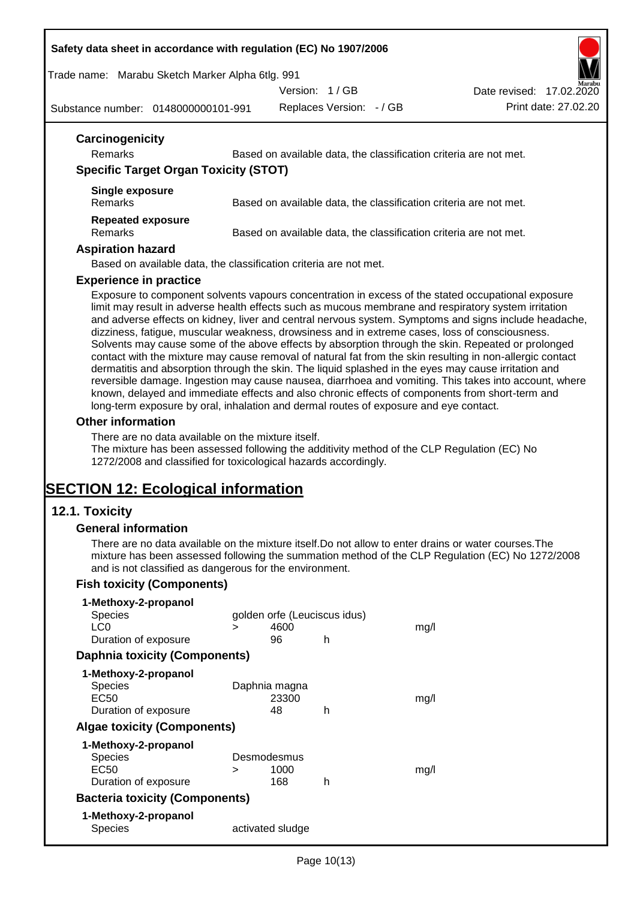#### **Safety data sheet in accordance with regulation (EC) No 1907/2006**

Trade name: Marabu Sketch Marker Alpha 6tlg. 991

Version: 1 / GB

Date revised: 17.02.2020

Substance number: 0148000000101-991

Replaces Version: - / GB Print date: 27.02.20

| Remarks                                      | Based on available data, the classification criteria are not met. |
|----------------------------------------------|-------------------------------------------------------------------|
| <b>Specific Target Organ Toxicity (STOT)</b> |                                                                   |
| <b>Single exposure</b><br>Remarks            | Based on available data, the classification criteria are not met. |
| <b>Repeated exposure</b><br>Remarks          | Based on available data, the classification criteria are not met. |
| <b>Aspiration hazard</b>                     |                                                                   |
|                                              | Based on available data, the classification criteria are not met. |
| <b>Experience in practice</b>                |                                                                   |

Exposure to component solvents vapours concentration in excess of the stated occupational exposure limit may result in adverse health effects such as mucous membrane and respiratory system irritation and adverse effects on kidney, liver and central nervous system. Symptoms and signs include headache, dizziness, fatigue, muscular weakness, drowsiness and in extreme cases, loss of consciousness. Solvents may cause some of the above effects by absorption through the skin. Repeated or prolonged contact with the mixture may cause removal of natural fat from the skin resulting in non-allergic contact dermatitis and absorption through the skin. The liquid splashed in the eyes may cause irritation and reversible damage. Ingestion may cause nausea, diarrhoea and vomiting. This takes into account, where known, delayed and immediate effects and also chronic effects of components from short-term and long-term exposure by oral, inhalation and dermal routes of exposure and eye contact.

#### **Other information**

There are no data available on the mixture itself.

The mixture has been assessed following the additivity method of the CLP Regulation (EC) No 1272/2008 and classified for toxicological hazards accordingly.

# **SECTION 12: Ecological information**

## **12.1. Toxicity**

#### **General information**

There are no data available on the mixture itself.Do not allow to enter drains or water courses.The mixture has been assessed following the summation method of the CLP Regulation (EC) No 1272/2008 and is not classified as dangerous for the environment.

## **Fish toxicity (Components)**

| 1-Methoxy-2-propanol                  |   |                              |   |      |
|---------------------------------------|---|------------------------------|---|------|
| <b>Species</b>                        |   | golden orfe (Leuciscus idus) |   |      |
| LC <sub>0</sub>                       | ⋗ | 4600                         |   | mq/l |
| Duration of exposure                  |   | 96                           | h |      |
| <b>Daphnia toxicity (Components)</b>  |   |                              |   |      |
| 1-Methoxy-2-propanol                  |   |                              |   |      |
| <b>Species</b>                        |   | Daphnia magna                |   |      |
| EC50                                  |   | 23300                        |   | mq/l |
| Duration of exposure                  |   | 48                           | h |      |
| <b>Algae toxicity (Components)</b>    |   |                              |   |      |
| 1-Methoxy-2-propanol                  |   |                              |   |      |
| <b>Species</b>                        |   | Desmodesmus                  |   |      |
| EC50                                  | ⋗ | 1000                         |   | mq/l |
| Duration of exposure                  |   | 168                          | h |      |
| <b>Bacteria toxicity (Components)</b> |   |                              |   |      |
| 1-Methoxy-2-propanol                  |   |                              |   |      |
| Species                               |   | activated sludge             |   |      |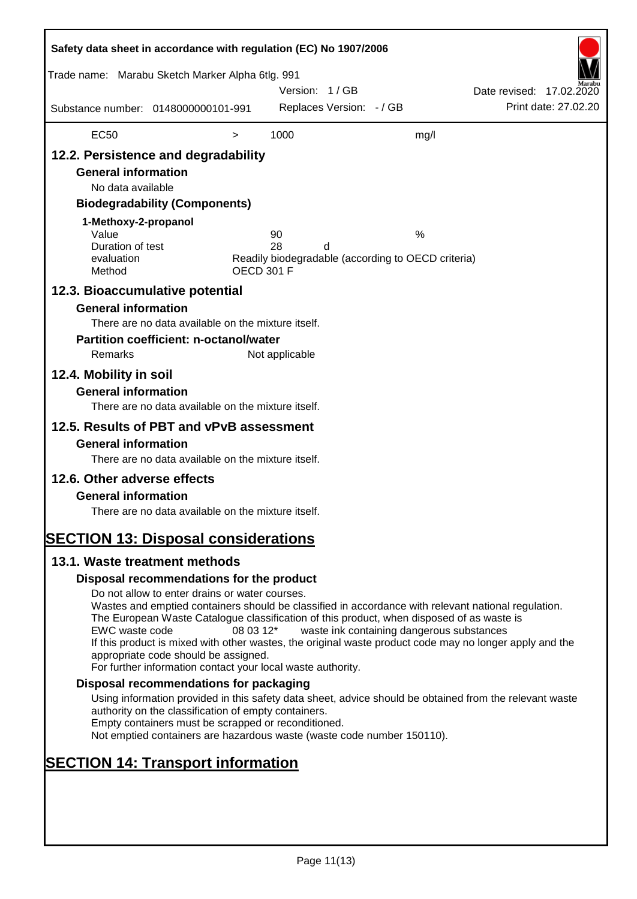| Safety data sheet in accordance with regulation (EC) No 1907/2006                                                                                                                                                                    |                                                                                                                                                                                                                                                                                                                                                                                                                                                                      |                   |                |                          |                                                         |                          |                      |
|--------------------------------------------------------------------------------------------------------------------------------------------------------------------------------------------------------------------------------------|----------------------------------------------------------------------------------------------------------------------------------------------------------------------------------------------------------------------------------------------------------------------------------------------------------------------------------------------------------------------------------------------------------------------------------------------------------------------|-------------------|----------------|--------------------------|---------------------------------------------------------|--------------------------|----------------------|
| Trade name: Marabu Sketch Marker Alpha 6tlg. 991                                                                                                                                                                                     |                                                                                                                                                                                                                                                                                                                                                                                                                                                                      |                   | Version: 1/GB  |                          |                                                         | Date revised: 17.02.2020 |                      |
| Substance number: 0148000000101-991                                                                                                                                                                                                  |                                                                                                                                                                                                                                                                                                                                                                                                                                                                      |                   |                | Replaces Version: - / GB |                                                         |                          | Print date: 27,02.20 |
| <b>EC50</b>                                                                                                                                                                                                                          |                                                                                                                                                                                                                                                                                                                                                                                                                                                                      | $\,>$             | 1000           |                          | mg/l                                                    |                          |                      |
| 12.2. Persistence and degradability<br><b>General information</b><br>No data available<br>1-Methoxy-2-propanol<br>Value<br>Duration of test<br>evaluation<br>Method<br>12.3. Bioaccumulative potential<br><b>General information</b> | <b>Biodegradability (Components)</b>                                                                                                                                                                                                                                                                                                                                                                                                                                 | <b>OECD 301 F</b> | 90<br>28       | d                        | %<br>Readily biodegradable (according to OECD criteria) |                          |                      |
| Remarks<br>12.4. Mobility in soil<br><b>General information</b>                                                                                                                                                                      | There are no data available on the mixture itself.<br><b>Partition coefficient: n-octanol/water</b>                                                                                                                                                                                                                                                                                                                                                                  |                   | Not applicable |                          |                                                         |                          |                      |
| 12.5. Results of PBT and vPvB assessment<br><b>General information</b><br>12.6. Other adverse effects<br><b>General information</b>                                                                                                  | There are no data available on the mixture itself.<br>There are no data available on the mixture itself.<br>There are no data available on the mixture itself.                                                                                                                                                                                                                                                                                                       |                   |                |                          |                                                         |                          |                      |
| <b>SECTION 13: Disposal considerations</b><br>13.1. Waste treatment methods                                                                                                                                                          |                                                                                                                                                                                                                                                                                                                                                                                                                                                                      |                   |                |                          |                                                         |                          |                      |
|                                                                                                                                                                                                                                      | Disposal recommendations for the product                                                                                                                                                                                                                                                                                                                                                                                                                             |                   |                |                          |                                                         |                          |                      |
| EWC waste code                                                                                                                                                                                                                       | Do not allow to enter drains or water courses.<br>Wastes and emptied containers should be classified in accordance with relevant national regulation.<br>The European Waste Catalogue classification of this product, when disposed of as waste is<br>If this product is mixed with other wastes, the original waste product code may no longer apply and the<br>appropriate code should be assigned.<br>For further information contact your local waste authority. | 08 03 12*         |                |                          | waste ink containing dangerous substances               |                          |                      |
|                                                                                                                                                                                                                                      | Disposal recommendations for packaging                                                                                                                                                                                                                                                                                                                                                                                                                               |                   |                |                          |                                                         |                          |                      |
|                                                                                                                                                                                                                                      | Using information provided in this safety data sheet, advice should be obtained from the relevant waste<br>authority on the classification of empty containers.<br>Empty containers must be scrapped or reconditioned.<br>Not emptied containers are hazardous waste (waste code number 150110).                                                                                                                                                                     |                   |                |                          |                                                         |                          |                      |
| <b>SECTION 14: Transport information</b>                                                                                                                                                                                             |                                                                                                                                                                                                                                                                                                                                                                                                                                                                      |                   |                |                          |                                                         |                          |                      |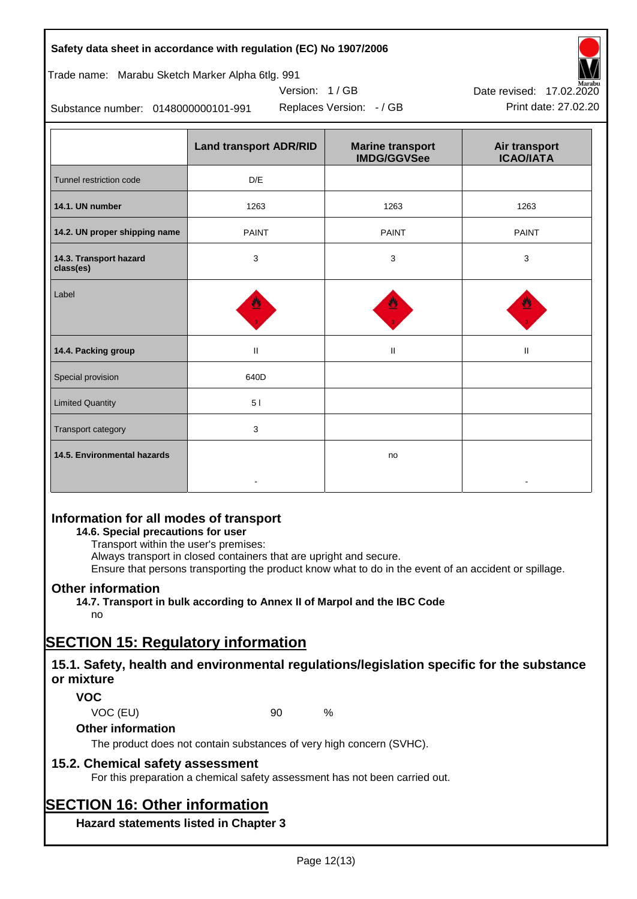|                                                  | Safety data sheet in accordance with regulation (EC) No 1907/2006 |                                               |                                   |
|--------------------------------------------------|-------------------------------------------------------------------|-----------------------------------------------|-----------------------------------|
| Trade name: Marabu Sketch Marker Alpha 6tlg. 991 |                                                                   |                                               |                                   |
|                                                  | Version: 1/GB                                                     | Date revised: 17.02.2020                      |                                   |
| Substance number: 0148000000101-991              | Print date: 27.02.20                                              |                                               |                                   |
|                                                  | <b>Land transport ADR/RID</b>                                     | <b>Marine transport</b><br><b>IMDG/GGVSee</b> | Air transport<br><b>ICAO/IATA</b> |
| Tunnel restriction code                          | D/E                                                               |                                               |                                   |
| 14.1. UN number                                  | 1263                                                              | 1263                                          | 1263                              |
| 14.2. UN proper shipping name                    | <b>PAINT</b>                                                      | <b>PAINT</b>                                  | <b>PAINT</b>                      |
| 14.3. Transport hazard<br>class(es)              | 3                                                                 | 3                                             | 3                                 |
| Label                                            |                                                                   |                                               |                                   |
| 14.4. Packing group                              | $\mathbf{I}$                                                      | Ш                                             | Ш                                 |
| Special provision                                | 640D                                                              |                                               |                                   |
| <b>Limited Quantity</b>                          | 51                                                                |                                               |                                   |
| Transport category                               | 3                                                                 |                                               |                                   |

## **Information for all modes of transport**

#### **14.6. Special precautions for user**

Transport within the user's premises:

Always transport in closed containers that are upright and secure.

-

Ensure that persons transporting the product know what to do in the event of an accident or spillage.

no

-

## **Other information**

**14.5. Environmental hazards**

**14.7. Transport in bulk according to Annex II of Marpol and the IBC Code**

## no

## **SECTION 15: Regulatory information**

## **15.1. Safety, health and environmental regulations/legislation specific for the substance or mixture**

## **VOC**

VOC (EU) 90 %

#### **Other information**

The product does not contain substances of very high concern (SVHC).

## **15.2. Chemical safety assessment**

For this preparation a chemical safety assessment has not been carried out.

# **SECTION 16: Other information**

**Hazard statements listed in Chapter 3**